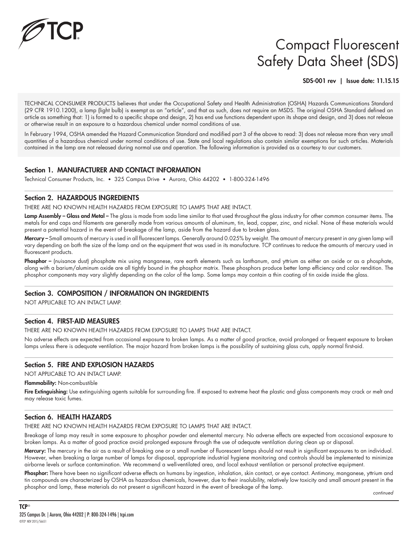

# Compact Fluorescent Safety Data Sheet (SDS)

SDS-001 rev | Issue date: 11.15.15

TECHNICAL CONSUMER PRODUCTS believes that under the Occupational Safety and Health Administration (OSHA) Hazards Communications Standard (29 CFR 1910.1200), a lamp (light bulb) is exempt as an "article", and that as such, does not require an MSDS. The original OSHA Standard defined an article as something that: 1) is formed to a specific shape and design, 2) has end use functions dependent upon its shape and design, and 3) does not release or otherwise result in an exposure to a hazardous chemical under normal conditions of use.

In February 1994, OSHA amended the Hazard Communication Standard and modified part 3 of the above to read: 3) does not release more than very small quantities of a hazardous chemical under normal conditions of use. State and local regulations also contain similar exemptions for such articles. Materials contained in the lamp are not released during normal use and operation. The following information is provided as a courtesy to our customers.

### Section 1. MANUFACTURER AND CONTACT INFORMATION

Technical Consumer Products, Inc. • 325 Campus Drive • Aurora, Ohio 44202 • 1-800-324-1496

#### Section 2. HAZARDOUS INGREDIENTS

THERE ARE NO KNOWN HEALTH HAZARDS FROM EXPOSURE TO LAMPS THAT ARE INTACT.

Lamp Assembly – Glass and Metal – The glass is made from soda lime similar to that used throughout the glass industry for other common consumer items. The metals for end caps and filaments are generally made from various amounts of aluminum, tin, lead, copper, zinc, and nickel. None of these materials would present a potential hazard in the event of breakage of the lamp, aside from the hazard due to broken glass.

Mercury – Small amounts of mercury is used in all fluorescent lamps. Generally around 0.025% by weight. The amount of mercury present in any given lamp will vary depending on both the size of the lamp and on the equipment that was used in its manufacture. TCP continues to reduce the amounts of mercury used in fluorescent products.

Phosphor – (nuisance dust) phosphate mix using manganese, rare earth elements such as lanthanum, and yttrium as either an oxide or as a phosphate, along with a barium/aluminum oxide are all tightly bound in the phosphor matrix. These phosphors produce better lamp efficiency and color rendition. The phosphor components may vary slightly depending on the color of the lamp. Some lamps may contain a thin coating of tin oxide inside the glass.

### Section 3. COMPOSITION / INFORMATION ON INGREDIENTS

NOT APPLICABLE TO AN INTACT LAMP.

### Section 4. FIRST-AID MEASURES

THERE ARE NO KNOWN HEALTH HAZARDS FROM EXPOSURE TO LAMPS THAT ARE INTACT.

No adverse effects are expected from occasional exposure to broken lamps. As a matter of good practice, avoid prolonged or frequent exposure to broken lamps unless there is adequate ventilation. The major hazard from broken lamps is the possibility of sustaining glass cuts, apply normal first-aid.

### Section 5. FIRE AND EXPLOSION HAZARDS

NOT APPLICABLE TO AN INTACT LAMP.

Flammability: Non-combustible

Fire Extinguishing: Use extinguishing agents suitable for surrounding fire. If exposed to extreme heat the plastic and glass components may crack or melt and may release toxic fumes.

### Section 6. HEALTH HAZARDS

THERE ARE NO KNOWN HEALTH HAZARDS FROM EXPOSURE TO LAMPS THAT ARE INTACT.

Breakage of lamp may result in some exposure to phosphor powder and elemental mercury. No adverse effects are expected from occasional exposure to broken lamps. As a matter of good practice avoid prolonged exposure through the use of adequate ventilation during clean up or disposal.

Mercury: The mercury in the air as a result of breaking one or a small number of fluorescent lamps should not result in significant exposures to an individual. However, when breaking a large number of lamps for disposal, appropriate industrial hygiene monitoring and controls should be implemented to minimize airborne levels or surface contamination. We recommend a well-ventilated area, and local exhaust ventilation or personal protective equipment.

Phosphor: There have been no significant adverse effects on humans by ingestion, inhalation, skin contact, or eye contact. Antimony, manganese, yttrium and tin compounds are characterized by OSHA as hazardous chemicals, however, due to their insolubility, relatively low toxicity and small amount present in the phosphor and lamp, these materials do not present a significant hazard in the event of breakage of the lamp.